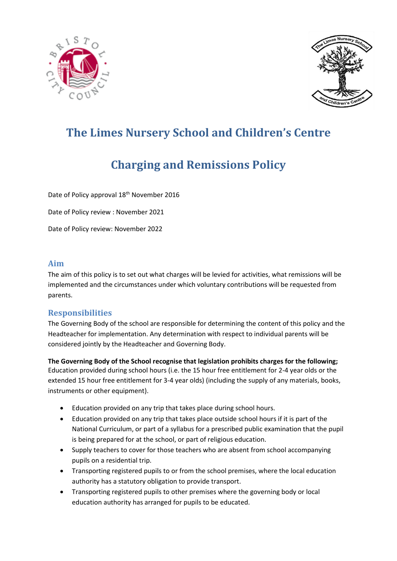



# **The Limes Nursery School and Children's Centre**

## **Charging and Remissions Policy**

Date of Policy approval 18<sup>th</sup> November 2016

Date of Policy review : November 2021

Date of Policy review: November 2022

#### **Aim**

The aim of this policy is to set out what charges will be levied for activities, what remissions will be implemented and the circumstances under which voluntary contributions will be requested from parents.

#### **Responsibilities**

The Governing Body of the school are responsible for determining the content of this policy and the Headteacher for implementation. Any determination with respect to individual parents will be considered jointly by the Headteacher and Governing Body.

**The Governing Body of the School recognise that legislation prohibits charges for the following;**  Education provided during school hours (i.e. the 15 hour free entitlement for 2-4 year olds or the extended 15 hour free entitlement for 3-4 year olds) (including the supply of any materials, books, instruments or other equipment).

- Education provided on any trip that takes place during school hours.
- Education provided on any trip that takes place outside school hours if it is part of the National Curriculum, or part of a syllabus for a prescribed public examination that the pupil is being prepared for at the school, or part of religious education.
- Supply teachers to cover for those teachers who are absent from school accompanying pupils on a residential trip.
- Transporting registered pupils to or from the school premises, where the local education authority has a statutory obligation to provide transport.
- Transporting registered pupils to other premises where the governing body or local education authority has arranged for pupils to be educated.